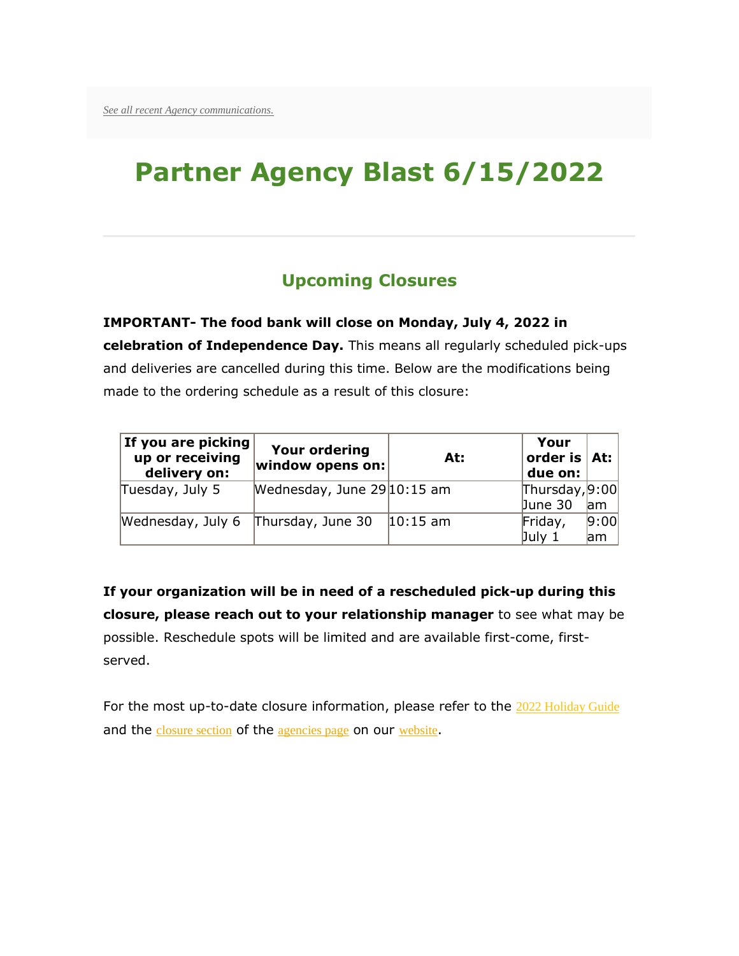# **Partner Agency Blast 6/15/2022**

### **Upcoming Closures**

**IMPORTANT- The food bank will close on Monday, July 4, 2022 in celebration of Independence Day.** This means all regularly scheduled pick-ups and deliveries are cancelled during this time. Below are the modifications being made to the ordering schedule as a result of this closure:

| If you are picking<br>up or receiving<br>delivery on: | <b>Your ordering</b><br>$ $ window opens on: $ $ | At:         | Your<br>order is $ $ At:<br>due on: |      |
|-------------------------------------------------------|--------------------------------------------------|-------------|-------------------------------------|------|
| Tuesday, July 5                                       | Wednesday, June 29 10:15 am                      |             | [Thus, 9:00]                        |      |
|                                                       |                                                  |             | June 30                             | am   |
| Wednesday, July 6                                     | Thursday, June 30                                | $ 10:15$ am | Friday,                             | 9:00 |
|                                                       |                                                  |             | July 1                              | lam  |

**If your organization will be in need of a rescheduled pick-up during this closure, please reach out to your relationship manager** to see what may be possible. Reschedule spots will be limited and are available first-come, firstserved.

For the most up-to-date closure information, please refer to the [2022 Holiday Guide](https://www.centraltexasfoodbank.org/media/613/download) and the [closure section](http://cafbtx.convio.net/site/R?i=WUkgle8Pa9ADOm3F6blaRITQjBzhGa0X1HhFzAdeiA_-c6akJBANwg) of the [agencies page](http://cafbtx.convio.net/site/R?i=m4Ivuhgh2ZxCDHoJqrojba7Vu615WPTvITX9EuH6o8E5Z8H0FGBFcQ) on our [website](http://cafbtx.convio.net/site/R?i=_Pnwe9ElXJN_BWoccD_OvmUj_uwxP-z7rOw0pIWhyeXGfVxEkVi7Rg).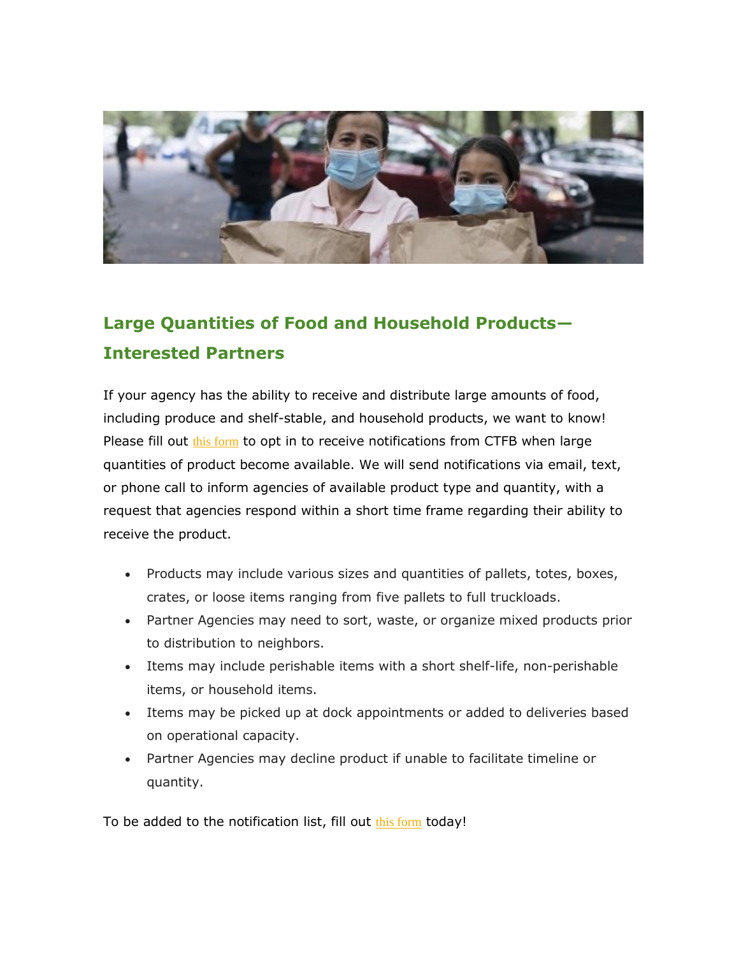

## **Large Quantities of Food and Household Products— Interested Partners**

If your agency has the ability to receive and distribute large amounts of food, including produce and shelf-stable, and household products, we want to know! Please fill out [this form](http://cafbtx.convio.net/site/R?i=qn-xJWjO2Fk7JbjjzdWRz0Oz6LBKPCQyiPa8a9ZXhEvwbS3Mcaf3iQ) to opt in to receive notifications from CTFB when large quantities of product become available. We will send notifications via email, text, or phone call to inform agencies of available product type and quantity, with a request that agencies respond within a short time frame regarding their ability to receive the product.

- Products may include various sizes and quantities of pallets, totes, boxes, crates, or loose items ranging from five pallets to full truckloads.
- Partner Agencies may need to sort, waste, or organize mixed products prior to distribution to neighbors.
- Items may include perishable items with a short shelf-life, non-perishable items, or household items.
- Items may be picked up at dock appointments or added to deliveries based on operational capacity.
- Partner Agencies may decline product if unable to facilitate timeline or quantity.

To be added to the notification list, fill out [this form](http://cafbtx.convio.net/site/R?i=eKL-dpQ9oG7Mlz9ctyVG9G31gxkPBJVe3w5qubAAW97VxjkOP-stzQ) today!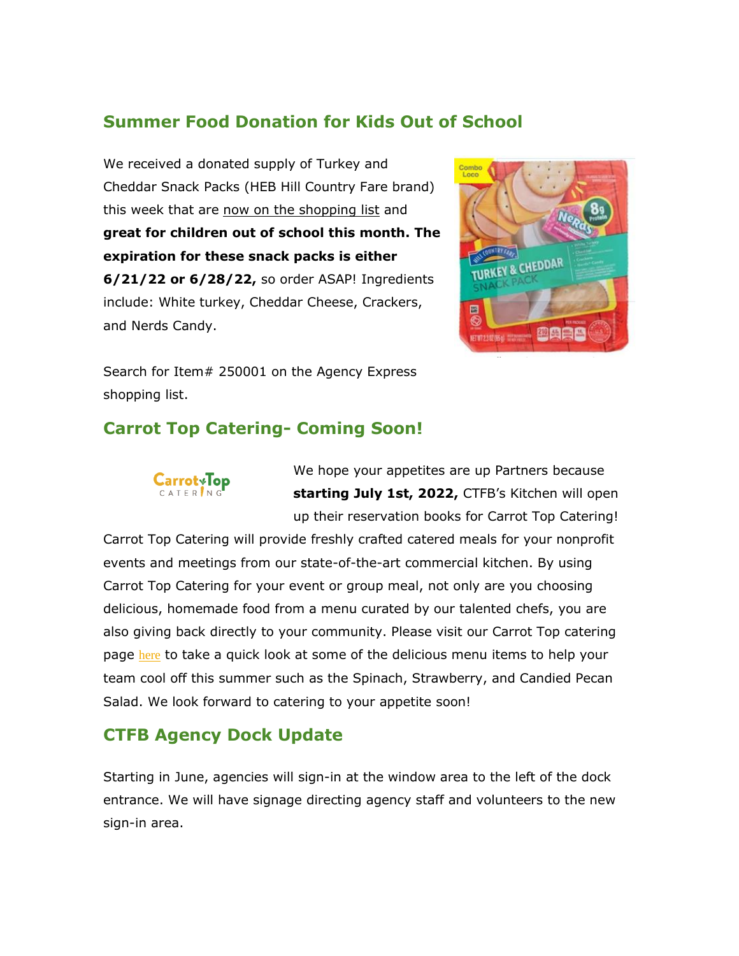#### **Summer Food Donation for Kids Out of School**

We received a donated supply of Turkey and Cheddar Snack Packs (HEB Hill Country Fare brand) this week that are now on the shopping list and **great for children out of school this month. The expiration for these snack packs is either 6/21/22 or 6/28/22,** so order ASAP! Ingredients include: White turkey, Cheddar Cheese, Crackers, and Nerds Candy.



Search for Item# 250001 on the Agency Express shopping list.

#### **Carrot Top Catering- Coming Soon!**



We hope your appetites are up Partners because **starting July 1st, 2022,** CTFB's Kitchen will open up their reservation books for Carrot Top Catering!

Carrot Top Catering will provide freshly crafted catered meals for your nonprofit events and meetings from our state-of-the-art commercial kitchen. By using Carrot Top Catering for your event or group meal, not only are you choosing delicious, homemade food from a menu curated by our talented chefs, you are also giving back directly to your community. Please visit our Carrot Top catering page [here](http://cafbtx.convio.net/site/R?i=dHAFkLRZvNp8KnE-63YE-OUae4uj140fC8AJKaOGgvo7x4U-Zos6mA) to take a quick look at some of the delicious menu items to help your team cool off this summer such as the Spinach, Strawberry, and Candied Pecan Salad. We look forward to catering to your appetite soon!

#### **CTFB Agency Dock Update**

Starting in June, agencies will sign-in at the window area to the left of the dock entrance. We will have signage directing agency staff and volunteers to the new sign-in area.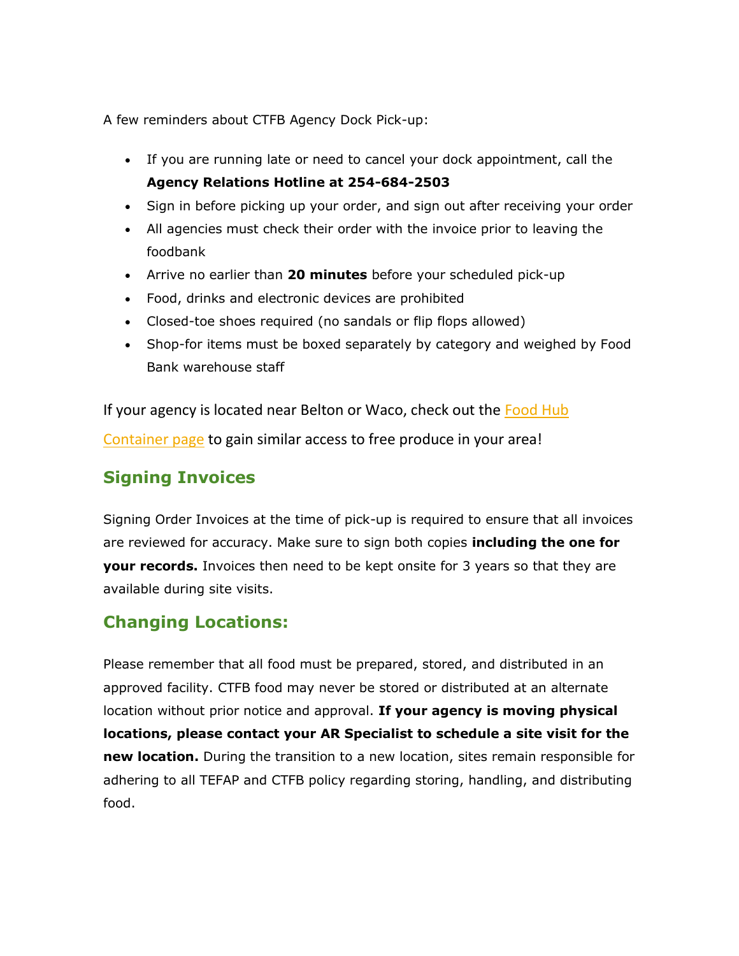A few reminders about CTFB Agency Dock Pick-up:

- If you are running late or need to cancel your dock appointment, call the **Agency Relations Hotline at 254-684-2503**
- Sign in before picking up your order, and sign out after receiving your order
- All agencies must check their order with the invoice prior to leaving the foodbank
- Arrive no earlier than **20 minutes** before your scheduled pick-up
- Food, drinks and electronic devices are prohibited
- Closed-toe shoes required (no sandals or flip flops allowed)
- Shop-for items must be boxed separately by category and weighed by Food Bank warehouse staff

If your agency is located near Belton or Waco, check out the [Food Hub](http://cafbtx.convio.net/site/R?i=APmyuZiE_0JLPnylrdfFwN8kl2zkugKvxRmBiNsNFqecNuPIVhHWbg)  [Container page](http://cafbtx.convio.net/site/R?i=APmyuZiE_0JLPnylrdfFwN8kl2zkugKvxRmBiNsNFqecNuPIVhHWbg) to gain similar access to free produce in your area!

#### **Signing Invoices**

Signing Order Invoices at the time of pick-up is required to ensure that all invoices are reviewed for accuracy. Make sure to sign both copies **including the one for your records.** Invoices then need to be kept onsite for 3 years so that they are available during site visits.

#### **Changing Locations:**

Please remember that all food must be prepared, stored, and distributed in an approved facility. CTFB food may never be stored or distributed at an alternate location without prior notice and approval. **If your agency is moving physical locations, please contact your AR Specialist to schedule a site visit for the new location.** During the transition to a new location, sites remain responsible for adhering to all TEFAP and CTFB policy regarding storing, handling, and distributing food.